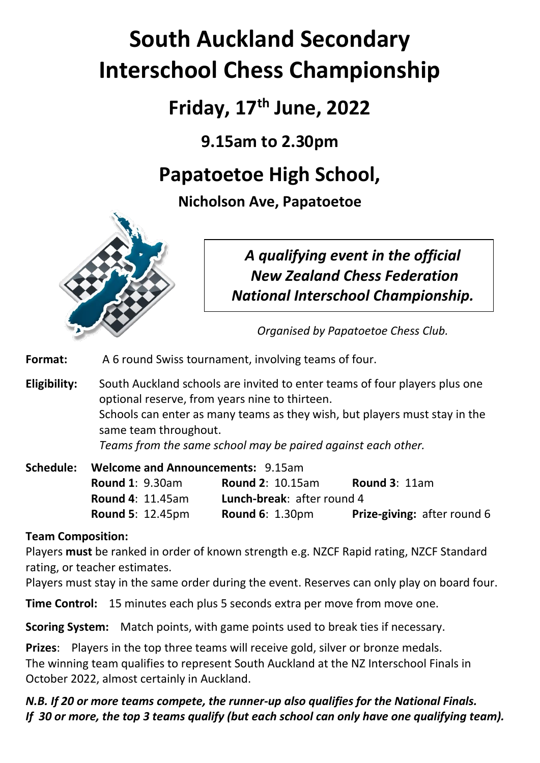# **South Auckland Secondary Interschool Chess Championship**

**Friday, 17 th June, 2022**

**9.15am to 2.30pm**

## **Papatoetoe High School,**

**Nicholson Ave, Papatoetoe**



*A qualifying event in the official New Zealand Chess Federation National Interschool Championship.*

*Organised by Papatoetoe Chess Club.*

**Format:** A 6 round Swiss tournament, involving teams of four.

**Eligibility:** South Auckland schools are invited to enter teams of four players plus one optional reserve, from years nine to thirteen. Schools can enter as many teams as they wish, but players must stay in the same team throughout. *Teams from the same school may be paired against each other.* 

| Schedule: | <b>Welcome and Announcements: 9.15am</b> |                                   |                                    |
|-----------|------------------------------------------|-----------------------------------|------------------------------------|
|           | <b>Round 1: 9.30am</b>                   | <b>Round 2: 10.15am</b>           | <b>Round 3: 11am</b>               |
|           | <b>Round 4: 11.45am</b>                  | <b>Lunch-break: after round 4</b> |                                    |
|           | <b>Round 5: 12.45pm</b>                  | <b>Round 6: 1.30pm</b>            | <b>Prize-giving: after round 6</b> |

### **Team Composition:**

Players **must** be ranked in order of known strength e.g. NZCF Rapid rating, NZCF Standard rating, or teacher estimates.

Players must stay in the same order during the event. Reserves can only play on board four.

**Time Control:** 15 minutes each plus 5 seconds extra per move from move one.

**Scoring System:** Match points, with game points used to break ties if necessary.

**Prizes**: Players in the top three teams will receive gold, silver or bronze medals. The winning team qualifies to represent South Auckland at the NZ Interschool Finals in October 2022, almost certainly in Auckland.

*N.B. If 20 or more teams compete, the runner-up also qualifies for the National Finals. If 30 or more, the top 3 teams qualify (but each school can only have one qualifying team).*